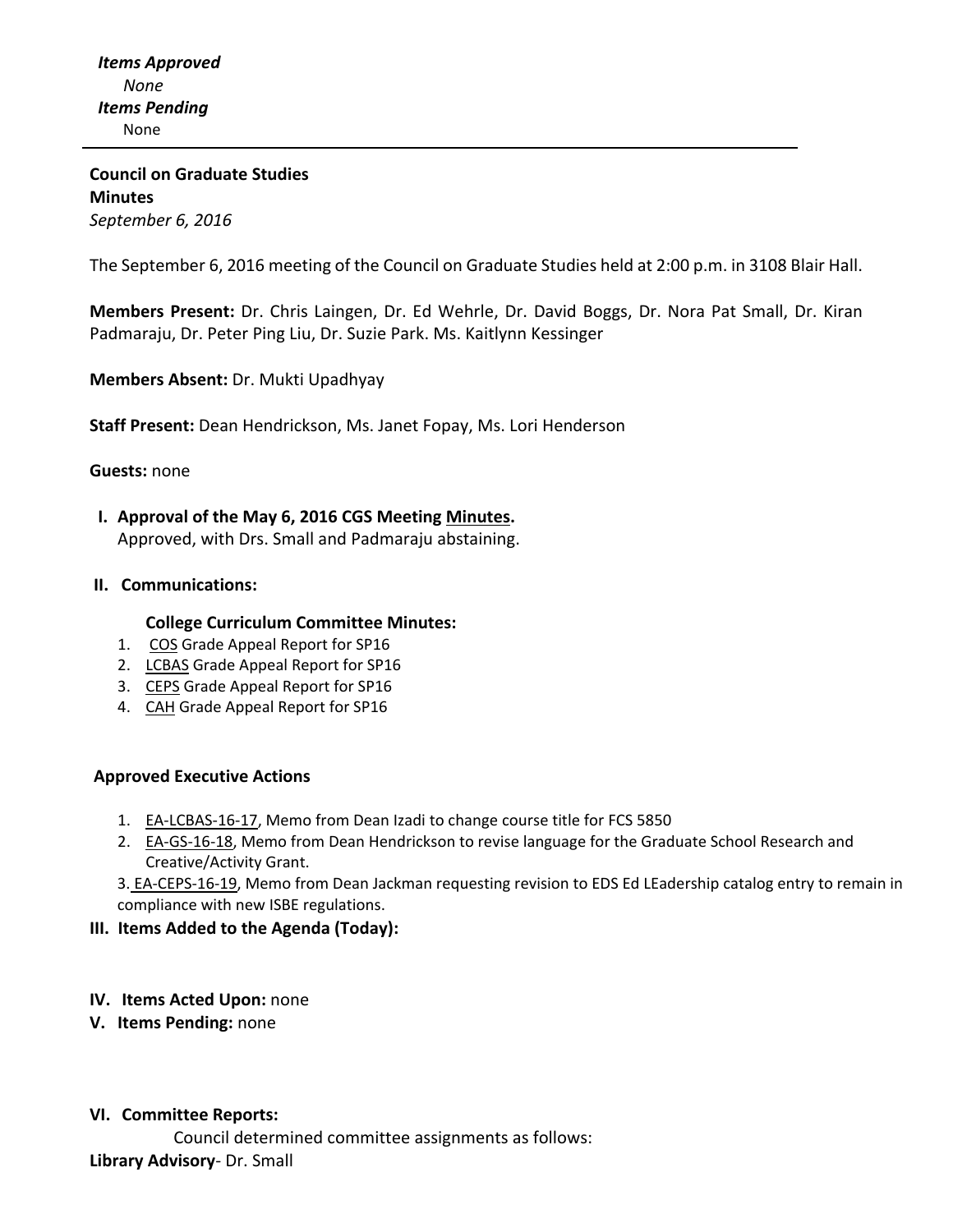# **Council on Graduate Studies Minutes** *September 6, 2016*

The September 6, 2016 meeting of the Council on Graduate Studies held at 2:00 p.m. in 3108 Blair Hall.

**Members Present:** Dr. Chris Laingen, Dr. Ed Wehrle, Dr. David Boggs, Dr. Nora Pat Small, Dr. Kiran Padmaraju, Dr. Peter Ping Liu, Dr. Suzie Park. Ms. Kaitlynn Kessinger

**Members Absent:** Dr. Mukti Upadhyay

**Staff Present:** Dean Hendrickson, Ms. Janet Fopay, Ms. Lori Henderson

### **Guests:** none

 **I. Approval of the May 6, 2016 CGS Meeting [Minutes.](http://castle.eiu.edu/eiucgs/currentminutes/Minutes05-03-16.pdf)** Approved, with Drs. Small and Padmaraju abstaining.

### **II. Communications:**

### **College Curriculum Committee Minutes:**

- 1. [COS](http://castle.eiu.edu/eiucgs/documents/COS%20Grade%20Appeal%20Report%20for%20Spring%202016.pdf) Grade Appeal Report for SP16
- 2. [LCBAS](http://castle.eiu.edu/eiucgs/exec-actions/EA-LCBAS-16-17.pdf) Grade Appeal Report for SP16
- 3. [CEPS](http://castle.eiu.edu/eiucgs/documents/CEPS-Grade-Appeals-Report-SP16.pdf) Grade Appeal Report for SP16
- 4. [CAH](http://castle.eiu.edu/eiucgs/documents/CAH-Grade-Appeals-Report-SP16.pdf) Grade Appeal Report for SP16

### **Approved Executive Actions**

- 1. EA-[LCBAS](http://castle.eiu.edu/eiucgs/exec-actions/EA-LCBAS-16-17.pdf)-16-17, Memo from Dean Izadi to change course title for FCS 5850
- 2. EA‐GS‐16‐[18,](http://castle.eiu.edu/eiucgs/exec-actions/EA-GS-16-18.pdf) Memo from Dean Hendrickson to revise language for the Graduate School Research and Creative/Activity Grant.

3. [EA-CEPS-16-19, M](http://castle.eiu.edu/eiucgs/exec-actions/EA-CEPS-16-19.pdf)emo from Dean Jackman requesting revision to EDS Ed LEadership catalog entry to remain in compliance with new ISBE regulations.

## **III. Items Added to the Agenda (Today):**

- **IV. Items Acted Upon:** none
- **V. Items Pending:** none

### **VI. Committee Reports:**

Council determined committee assignments as follows: